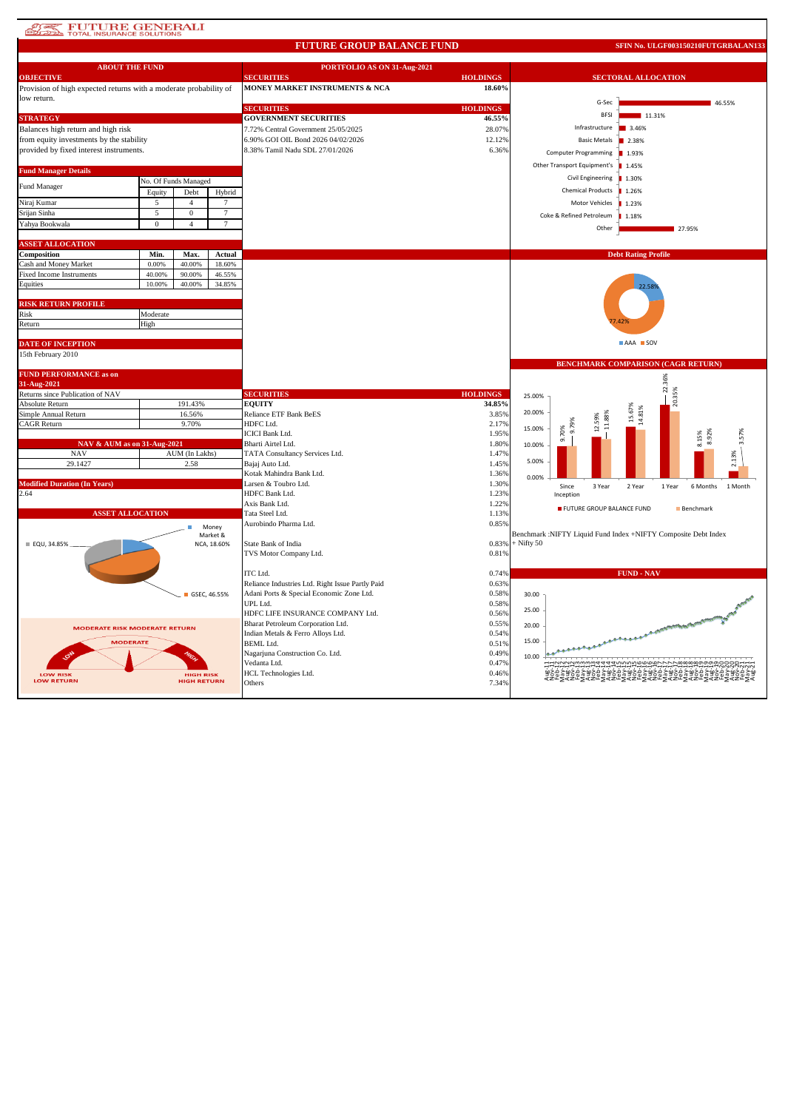# **AT PUTURE GENERALI**

#### **FUTURE GROUP BALANCE FUND**

**SFIN No. ULGF003150210FUTGRBALAN133**

| <b>ABOUT THE FUND</b>                                             |          |                                        |                   | PORTFOLIO AS ON 31-Aug-2021                      |                 |              |                                     |                                                                                                      |  |
|-------------------------------------------------------------------|----------|----------------------------------------|-------------------|--------------------------------------------------|-----------------|--------------|-------------------------------------|------------------------------------------------------------------------------------------------------|--|
| <b>OBJECTIVE</b>                                                  |          |                                        |                   | <b>SECURITIES</b>                                | <b>HOLDINGS</b> |              | <b>SECTORAL ALLOCATION</b>          |                                                                                                      |  |
| Provision of high expected returns with a moderate probability of |          |                                        |                   | MONEY MARKET INSTRUMENTS & NCA                   | 18.60%          |              |                                     |                                                                                                      |  |
| low return.                                                       |          |                                        |                   | <b>SECURITIES</b>                                | <b>HOLDINGS</b> |              | G-Sec                               | 46.55%                                                                                               |  |
| <b>STRATEGY</b>                                                   |          |                                        |                   | <b>GOVERNMENT SECURITIES</b>                     | 46.55%          |              | <b>BFSI</b>                         | 11.31%                                                                                               |  |
| Balances high return and high risk                                |          |                                        |                   | 7.72% Central Government 25/05/2025              | 28.07%          |              | Infrastructure                      | 3.46%                                                                                                |  |
| from equity investments by the stability                          |          |                                        |                   | 6.90% GOI OIL Bond 2026 04/02/2026               | 12.12%          |              | <b>Basic Metals</b>                 | 2.38%                                                                                                |  |
| provided by fixed interest instruments.                           |          |                                        |                   | 8.38% Tamil Nadu SDL 27/01/2026                  | 6.36%           |              |                                     |                                                                                                      |  |
|                                                                   |          |                                        |                   |                                                  |                 |              | <b>Computer Programming</b>         | ■ 1.93%                                                                                              |  |
| <b>Fund Manager Details</b>                                       |          |                                        |                   |                                                  |                 |              | Other Transport Equipment's   1.45% |                                                                                                      |  |
|                                                                   |          | No. Of Funds Managed                   |                   |                                                  |                 |              | Civil Engineering                   | ■ 1.30%                                                                                              |  |
| Fund Manager                                                      | Equity   | Debt                                   | Hybrid            |                                                  |                 |              | <b>Chemical Products</b>            | 1.26%                                                                                                |  |
| Niraj Kumar                                                       | 5        | $\overline{4}$                         | 7                 |                                                  |                 |              | Motor Vehicles                      | 1.23%                                                                                                |  |
| Srijan Sinha                                                      | 5        | $\mathbf{0}$                           | $\overline{7}$    |                                                  |                 |              | Coke & Refined Petroleum            | 1.18%                                                                                                |  |
| Yahya Bookwala                                                    | $\bf{0}$ | $\overline{4}$                         | 7                 |                                                  |                 |              |                                     |                                                                                                      |  |
|                                                                   |          |                                        |                   |                                                  |                 |              | Other                               | 27.95%                                                                                               |  |
| <b>ASSET ALLOCATION</b>                                           |          |                                        |                   |                                                  |                 |              |                                     |                                                                                                      |  |
| Composition                                                       | Min.     | Max.                                   | Actual            |                                                  |                 |              |                                     | <b>Debt Rating Profile</b>                                                                           |  |
| Cash and Money Market                                             | 0.00%    | 40.00%                                 | 18.60%            |                                                  |                 |              |                                     |                                                                                                      |  |
| <b>Fixed Income Instruments</b>                                   | 40.00%   | 90.00%                                 | 46.55%            |                                                  |                 |              |                                     |                                                                                                      |  |
| Equities                                                          | 10.00%   | 40.00%                                 | 34.85%            |                                                  |                 |              |                                     |                                                                                                      |  |
|                                                                   |          |                                        |                   |                                                  |                 |              |                                     |                                                                                                      |  |
| <b>RISK RETURN PROFILE</b>                                        |          |                                        |                   |                                                  |                 |              |                                     |                                                                                                      |  |
| Risk                                                              | Moderate |                                        |                   |                                                  |                 |              |                                     |                                                                                                      |  |
| Return                                                            | High     |                                        |                   |                                                  |                 |              |                                     |                                                                                                      |  |
|                                                                   |          |                                        |                   |                                                  |                 |              |                                     | AAA SOV                                                                                              |  |
| <b>DATE OF INCEPTION</b>                                          |          |                                        |                   |                                                  |                 |              |                                     |                                                                                                      |  |
| 15th February 2010                                                |          |                                        |                   |                                                  |                 |              |                                     | <b>BENCHMARK COMPARISON (CAGR RETURN)</b>                                                            |  |
| <b>FUND PERFORMANCE as on</b>                                     |          |                                        |                   |                                                  |                 |              |                                     |                                                                                                      |  |
| 31-Aug-2021                                                       |          |                                        |                   |                                                  |                 |              |                                     | 22.36%                                                                                               |  |
| Returns since Publication of NAV                                  |          |                                        |                   | <b>SECURITIES</b>                                | <b>HOLDINGS</b> | 25.00%       |                                     | 20.35%                                                                                               |  |
| Absolute Return                                                   |          | 191.43%                                |                   | <b>EQUITY</b>                                    | 34.85%          |              |                                     |                                                                                                      |  |
| Simple Annual Return                                              |          | 16.56%                                 |                   | Reliance ETF Bank BeES                           | 3.85%           | 20.00%       |                                     | 15.67%<br>14.81%                                                                                     |  |
| CAGR Return<br>9.70%                                              |          |                                        |                   | HDFC Ltd.                                        | 2.17%           | 15.00%       |                                     |                                                                                                      |  |
|                                                                   |          |                                        |                   | <b>ICICI Bank Ltd.</b>                           | 1.95%           |              | ರ<br>္တြ                            | 8.92%<br>8.15%                                                                                       |  |
| NAV & AUM as on 31-Aug-2021                                       |          |                                        |                   | Bharti Airtel Ltd.                               | 1.80%           | 10.00%       |                                     |                                                                                                      |  |
| <b>NAV</b>                                                        |          | AUM (In Lakhs)                         |                   | TATA Consultancy Services Ltd.                   | 1.47%           | 5.00%        |                                     | 2.13%                                                                                                |  |
| 29.1427                                                           |          | 2.58                                   |                   | Bajaj Auto Ltd.                                  | 1.45%           |              |                                     |                                                                                                      |  |
|                                                                   |          |                                        |                   | Kotak Mahindra Bank Ltd.                         | 1.36%           | 0.00%        |                                     |                                                                                                      |  |
| <b>Modified Duration (In Years)</b><br>2.64                       |          |                                        |                   | Larsen & Toubro Ltd.<br>HDFC Bank Ltd.           | 1.30%<br>1.23%  |              | Since<br>3 Year                     | 2 Year<br>1 Year<br>6 Months<br>1 Month                                                              |  |
|                                                                   |          |                                        |                   | Axis Bank Ltd.                                   | 1.22%           |              | Inception                           |                                                                                                      |  |
| <b>ASSET ALLOCATION</b>                                           |          |                                        |                   | Tata Steel Ltd.                                  | 1.13%           |              | FUTURE GROUP BALANCE FUND           | Benchmark                                                                                            |  |
|                                                                   |          |                                        |                   | Aurobindo Pharma Ltd.                            | 0.85%           |              |                                     |                                                                                                      |  |
|                                                                   |          |                                        | Money<br>Market & |                                                  |                 |              |                                     | Benchmark :NIFTY Liquid Fund Index +NIFTY Composite Debt Index                                       |  |
| ■ EQU, 34.85%                                                     |          |                                        | NCA, 18.60%       | State Bank of India                              | 0.83%           | $+$ Nifty 50 |                                     |                                                                                                      |  |
|                                                                   |          |                                        |                   | TVS Motor Company Ltd.                           | 0.81%           |              |                                     |                                                                                                      |  |
|                                                                   |          |                                        |                   |                                                  |                 |              |                                     |                                                                                                      |  |
|                                                                   |          |                                        |                   | ITC Ltd.                                         | 0.74%           |              |                                     | <b>FUND - NAV</b>                                                                                    |  |
|                                                                   |          |                                        |                   | Reliance Industries Ltd. Right Issue Partly Paid | 0.63%           |              |                                     |                                                                                                      |  |
|                                                                   |          | GSEC, 46.55%                           |                   | Adani Ports & Special Economic Zone Ltd.         | 0.58%           | 30.00        |                                     |                                                                                                      |  |
|                                                                   |          |                                        |                   | UPL Ltd.                                         | 0.58%           | 25.00        |                                     |                                                                                                      |  |
|                                                                   |          |                                        |                   | HDFC LIFE INSURANCE COMPANY Ltd.                 | 0.56%           |              |                                     |                                                                                                      |  |
| <b>MODERATE RISK MODERATE RETURN</b>                              |          |                                        |                   | Bharat Petroleum Corporation Ltd.                | 0.55%           | 20.00        |                                     | <b>COURTH AREA BELLEVILLE</b>                                                                        |  |
| <b>MODERATE</b>                                                   |          |                                        |                   | Indian Metals & Ferro Alloys Ltd.                | 0.54%           | 15.00        |                                     |                                                                                                      |  |
|                                                                   |          |                                        |                   | <b>BEML</b> Ltd.                                 | 0.51%           |              |                                     |                                                                                                      |  |
|                                                                   |          |                                        |                   | Nagarjuna Construction Co. Ltd.                  | 0.49%           | 10.00        |                                     |                                                                                                      |  |
|                                                                   |          |                                        |                   | Vedanta Ltd.                                     | 0.47%           |              |                                     |                                                                                                      |  |
| <b>LOW RISK</b><br><b>LOW RETURN</b>                              |          | <b>HIGH RISK</b><br><b>HIGH RETURN</b> |                   | HCL Technologies Ltd.<br>Others                  | 0.46%<br>7.34%  |              |                                     | <sub>⋜</sub> ≥⋷ <sub>⋝</sub> ⋞≥⋷ <sub>⋝</sub> ⋞≥⋷ <sub>∑</sub> ⋞≥⋷ <sub>⋝</sub> ⋞₽⋷⋛⋞₽⋷₹₽₹₽₹₽₹₽₹₽₹₽₹ |  |
|                                                                   |          |                                        |                   |                                                  |                 |              |                                     |                                                                                                      |  |
|                                                                   |          |                                        |                   |                                                  |                 |              |                                     |                                                                                                      |  |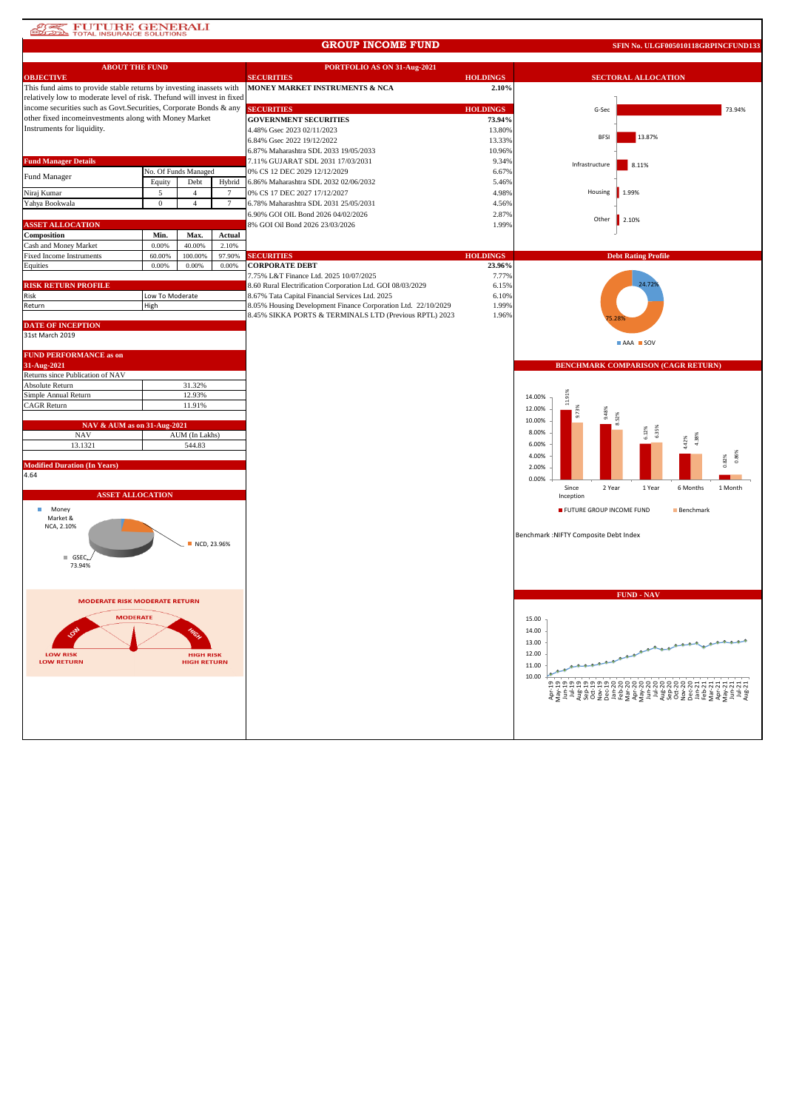## **SUTTURE GENERALI**

#### **GROUP INCOME FUND**

**SFIN No. ULGF005010118GRPINCFUND133**

| <b>ABOUT THE FUND</b>                                                  |                  |                      |                | PORTFOLIO AS ON 31-Aug-2021                                   |                 |                                                           |  |  |
|------------------------------------------------------------------------|------------------|----------------------|----------------|---------------------------------------------------------------|-----------------|-----------------------------------------------------------|--|--|
| <b>OBJECTIVE</b>                                                       |                  |                      |                | <b>SECURITIES</b>                                             | <b>HOLDINGS</b> | <b>SECTORAL ALLOCATION</b>                                |  |  |
| This fund aims to provide stable returns by investing inassets with    |                  |                      |                | MONEY MARKET INSTRUMENTS & NCA                                | 2.10%           |                                                           |  |  |
| relatively low to moderate level of risk. Thefund will invest in fixed |                  |                      |                |                                                               |                 |                                                           |  |  |
| income securities such as Govt. Securities, Corporate Bonds & any      |                  |                      |                | <b>SECURITIES</b>                                             | <b>HOLDINGS</b> | 73.94%<br>G-Sec                                           |  |  |
| other fixed incomeinvestments along with Money Market                  |                  |                      |                | <b>GOVERNMENT SECURITIES</b>                                  | 73.94%          |                                                           |  |  |
| Instruments for liquidity.                                             |                  |                      |                | 4.48% Gsec 2023 02/11/2023                                    | 13.80%          | 13.87%<br><b>BFS</b>                                      |  |  |
|                                                                        |                  |                      |                | 6.84% Gsec 2022 19/12/2022                                    | 13.33%          |                                                           |  |  |
|                                                                        |                  |                      |                | 6.87% Maharashtra SDL 2033 19/05/2033                         | 10.96%          |                                                           |  |  |
| <b>Fund Manager Details</b>                                            |                  |                      |                | 7.11% GUJARAT SDL 2031 17/03/2031                             | 9.34%           | Infrastructure<br>8.11%                                   |  |  |
| Fund Manager                                                           |                  | No. Of Funds Managed |                | 0% CS 12 DEC 2029 12/12/2029                                  | 6.67%           |                                                           |  |  |
|                                                                        | Equity           | Debt                 | Hybrid         | 6.86% Maharashtra SDL 2032 02/06/2032                         | 5.46%           |                                                           |  |  |
| Niraj Kumar                                                            | 5                | $\overline{4}$       | $\overline{7}$ | 0% CS 17 DEC 2027 17/12/2027                                  | 4.98%           | Housing<br>1.99%                                          |  |  |
| Yahya Bookwala                                                         | $\boldsymbol{0}$ | $\overline{4}$       | $\tau$         | 6.78% Maharashtra SDL 2031 25/05/2031                         | 4.56%           |                                                           |  |  |
|                                                                        |                  |                      |                | 6.90% GOI OIL Bond 2026 04/02/2026                            | 2.87%           |                                                           |  |  |
| <b>ASSET ALLOCATION</b>                                                |                  |                      |                | 8% GOI Oil Bond 2026 23/03/2026                               | 1.99%           | Other<br>2.10%                                            |  |  |
| Composition                                                            | Min.             | Max.                 | Actual         |                                                               |                 |                                                           |  |  |
| Cash and Money Market                                                  | 0.00%            | 40.00%               | 2.10%          |                                                               |                 |                                                           |  |  |
| <b>Fixed Income Instruments</b>                                        | 60.00%           | 100.00%              | 97.90%         | <b>SECURITIES</b>                                             | <b>HOLDINGS</b> | <b>Debt Rating Profile</b>                                |  |  |
| Equities                                                               | 0.00%            | 0.00%                | 0.00%          | <b>CORPORATE DEBT</b>                                         | 23.96%          |                                                           |  |  |
|                                                                        |                  |                      |                | 7.75% L&T Finance Ltd. 2025 10/07/2025                        | 7.77%           |                                                           |  |  |
| <b>RISK RETURN PROFILE</b>                                             |                  |                      |                | 8.60 Rural Electrification Corporation Ltd. GOI 08/03/2029    | 6.15%           |                                                           |  |  |
| Risk                                                                   | Low To Moderate  |                      |                | 8.67% Tata Capital Financial Services Ltd. 2025               | 6.10%           |                                                           |  |  |
| Return                                                                 | High             |                      |                | 8.05% Housing Development Finance Corporation Ltd. 22/10/2029 | 1.99%           |                                                           |  |  |
|                                                                        |                  |                      |                | 8.45% SIKKA PORTS & TERMINALS LTD (Previous RPTL) 2023        | 1.96%           |                                                           |  |  |
| <b>DATE OF INCEPTION</b>                                               |                  |                      |                |                                                               |                 |                                                           |  |  |
| 31st March 2019                                                        |                  |                      |                |                                                               |                 |                                                           |  |  |
|                                                                        |                  |                      |                |                                                               |                 | AAA SOV                                                   |  |  |
| <b>FUND PERFORMANCE as on</b>                                          |                  |                      |                |                                                               |                 |                                                           |  |  |
| 31-Aug-2021                                                            |                  |                      |                |                                                               |                 | BENCHMARK COMPARISON (CAGR RETURN)                        |  |  |
| Returns since Publication of NAV                                       |                  |                      |                |                                                               |                 |                                                           |  |  |
| Absolute Return                                                        |                  | 31.32%               |                |                                                               |                 |                                                           |  |  |
| Simple Annual Return                                                   | 12.93%           |                      |                |                                                               |                 | 14.00%                                                    |  |  |
| CAGR Return                                                            |                  | 11.91%               |                |                                                               |                 |                                                           |  |  |
|                                                                        |                  |                      |                |                                                               |                 | 12.00%                                                    |  |  |
| NAV & AUM as on 31-Aug-2021                                            |                  |                      |                |                                                               |                 | 10.00%                                                    |  |  |
| <b>NAV</b>                                                             |                  | AUM (In Lakhs)       |                |                                                               |                 | 8.00%                                                     |  |  |
| 13.1321                                                                |                  | 544.83               |                |                                                               |                 | 4.42%<br>6.00%                                            |  |  |
|                                                                        |                  |                      |                |                                                               |                 | 4.00%                                                     |  |  |
| <b>Modified Duration (In Years)</b>                                    |                  |                      |                |                                                               |                 | 2.00%                                                     |  |  |
| 4.64                                                                   |                  |                      |                |                                                               |                 |                                                           |  |  |
|                                                                        |                  |                      |                |                                                               |                 | 0.00%<br>Since<br>2 Year<br>6 Months<br>1 Month<br>1 Year |  |  |
| <b>ASSET ALLOCATION</b>                                                |                  |                      |                |                                                               |                 | Inception                                                 |  |  |
|                                                                        |                  |                      |                |                                                               |                 |                                                           |  |  |
| m.<br>Money<br>Market &                                                |                  |                      |                |                                                               |                 | FUTURE GROUP INCOME FUND<br>Benchmark                     |  |  |
| NCA, 2.10%                                                             |                  |                      |                |                                                               |                 |                                                           |  |  |
|                                                                        |                  |                      |                |                                                               |                 | Benchmark : NIFTY Composite Debt Index                    |  |  |
|                                                                        |                  |                      | NCD, 23.96%    |                                                               |                 |                                                           |  |  |
|                                                                        |                  |                      |                |                                                               |                 |                                                           |  |  |
| GSEC<br>73.94%                                                         |                  |                      |                |                                                               |                 |                                                           |  |  |
|                                                                        |                  |                      |                |                                                               |                 |                                                           |  |  |
|                                                                        |                  |                      |                |                                                               |                 |                                                           |  |  |
|                                                                        |                  |                      |                |                                                               |                 | <b>FUND - NAV</b>                                         |  |  |
| <b>MODERATE RISK MODERATE RETURN</b>                                   |                  |                      |                |                                                               |                 |                                                           |  |  |
|                                                                        |                  |                      |                |                                                               |                 |                                                           |  |  |
| <b>MODERATE</b>                                                        |                  |                      |                |                                                               |                 | 15.00                                                     |  |  |
|                                                                        |                  |                      |                |                                                               |                 | 14.00                                                     |  |  |
|                                                                        |                  |                      |                |                                                               |                 | 13.00                                                     |  |  |
| <b>LOW RISK</b>                                                        |                  | <b>HIGH RISK</b>     |                |                                                               |                 | 12.00                                                     |  |  |
| <b>LOW RETURN</b>                                                      |                  | <b>HIGH RETURN</b>   |                |                                                               |                 | 11.00                                                     |  |  |
|                                                                        |                  |                      |                |                                                               |                 |                                                           |  |  |
|                                                                        |                  |                      |                |                                                               |                 | 10.00                                                     |  |  |
|                                                                        |                  |                      |                |                                                               |                 |                                                           |  |  |
|                                                                        |                  |                      |                |                                                               |                 |                                                           |  |  |
|                                                                        |                  |                      |                |                                                               |                 |                                                           |  |  |
|                                                                        |                  |                      |                |                                                               |                 |                                                           |  |  |
|                                                                        |                  |                      |                |                                                               |                 |                                                           |  |  |
|                                                                        |                  |                      |                |                                                               |                 |                                                           |  |  |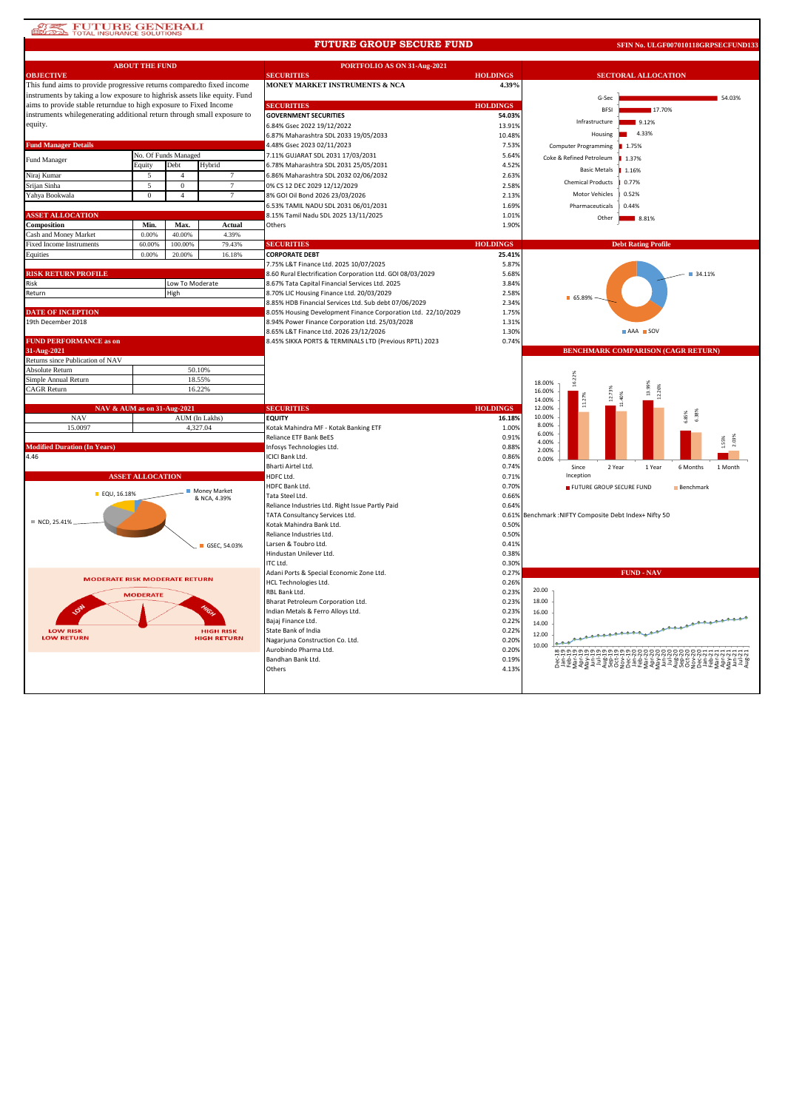### **STE FUTURE GENERALI**

#### **FUTURE GROUP SECURE FUND**

**SFIN No. ULGF007010118GRPSECFUND133**

|                                                                           | <b>ABOUT THE FUND</b>   |                      |                              | PORTFOLIO AS ON 31-Aug-2021                                                               |                 |                                                  |                                           |  |
|---------------------------------------------------------------------------|-------------------------|----------------------|------------------------------|-------------------------------------------------------------------------------------------|-----------------|--------------------------------------------------|-------------------------------------------|--|
| <b>OBJECTIVE</b>                                                          |                         |                      |                              | <b>SECURITIES</b>                                                                         | <b>HOLDINGS</b> | <b>SECTORAL ALLOCATION</b>                       |                                           |  |
| This fund aims to provide progressive returns comparedto fixed income     |                         |                      |                              | MONEY MARKET INSTRUMENTS & NCA                                                            | 4.39%           |                                                  |                                           |  |
| instruments by taking a low exposure to highrisk assets like equity. Fund |                         |                      |                              |                                                                                           |                 | G-Sec                                            | 54.03%                                    |  |
| aims to provide stable returndue to high exposure to Fixed Income         |                         |                      |                              | <b>SECURITIES</b>                                                                         | <b>HOLDINGS</b> | <b>BFSI</b>                                      | 17.70%                                    |  |
| instruments whilegenerating additional return through small exposure to   |                         |                      |                              | <b>GOVERNMENT SECURITIES</b>                                                              | 54.03%          | Infrastructure                                   | 9.12%                                     |  |
| equity.                                                                   |                         |                      |                              | 6.84% Gsec 2022 19/12/2022                                                                | 13.91%          | Housing                                          | 4.33%                                     |  |
| <b>Fund Manager Details</b>                                               |                         |                      |                              | 6.87% Maharashtra SDL 2033 19/05/2033                                                     | 10.48%          |                                                  |                                           |  |
|                                                                           |                         | No. Of Funds Managed |                              | 4.48% Gsec 2023 02/11/2023<br>7.11% GUJARAT SDL 2031 17/03/2031                           | 7.53%<br>5.64%  | <b>Computer Programming</b>                      | ■ 1.75%                                   |  |
| <b>Fund Manager</b>                                                       | Equity                  | Debt                 | Hybrid                       | 6.78% Maharashtra SDL 2031 25/05/2031                                                     | 4.52%           | Coke & Refined Petroleum                         | 1.37%                                     |  |
| Niraj Kumar                                                               |                         | $\overline{4}$       |                              | 6.86% Maharashtra SDL 2032 02/06/2032                                                     | 2.63%           | <b>Basic Metals</b>                              | 1.16%                                     |  |
| Srijan Sinha                                                              | 5                       | $\mathbf{0}$         | $\tau$                       | 0% CS 12 DEC 2029 12/12/2029                                                              | 2.58%           | <b>Chemical Products</b>                         | 0.77%                                     |  |
| Yahya Bookwala                                                            | $\overline{0}$          | $\overline{4}$       | $\overline{7}$               | 8% GOI Oil Bond 2026 23/03/2026                                                           | 2.13%           | Motor Vehicles                                   | 0.52%                                     |  |
|                                                                           |                         |                      |                              | 6.53% TAMIL NADU SDL 2031 06/01/2031                                                      | 1.69%           | Pharmaceuticals                                  | 0.44%                                     |  |
| <b>ASSET ALLOCATION</b>                                                   |                         |                      |                              | 8.15% Tamil Nadu SDL 2025 13/11/2025                                                      | 1.01%           | Other                                            |                                           |  |
| Composition                                                               | Min.                    | Max.                 | Actual                       | Others                                                                                    | 1.90%           |                                                  | 8.81%                                     |  |
| Cash and Money Market                                                     | 0.00%                   | 40.00%               | 4.39%                        |                                                                                           |                 |                                                  |                                           |  |
| <b>Fixed Income Instruments</b>                                           | 60.00%                  | 100.00%              | 79.43%                       | <b>SECURITIES</b>                                                                         | <b>HOLDINGS</b> |                                                  | <b>Debt Rating Profile</b>                |  |
| Equities                                                                  | 0.00%                   | 20,00%               | 16.18%                       | <b>CORPORATE DEBT</b>                                                                     | 25.41%          |                                                  |                                           |  |
|                                                                           |                         |                      |                              | 7.75% L&T Finance Ltd. 2025 10/07/2025                                                    | 5.87%           |                                                  |                                           |  |
| <b>RISK RETURN PROFILE</b>                                                |                         |                      |                              | 8.60 Rural Electrification Corporation Ltd. GOI 08/03/2029                                | 5.68%           |                                                  | ■ 34.11%                                  |  |
| Risk                                                                      |                         | Low To Moderate      |                              | 8.67% Tata Capital Financial Services Ltd. 2025                                           | 3.84%           |                                                  |                                           |  |
| Return                                                                    |                         | High                 |                              | 8.70% LIC Housing Finance Ltd. 20/03/2029                                                 | 2.58%           | 65.89%                                           |                                           |  |
|                                                                           |                         |                      |                              | 8.85% HDB Financial Services Ltd. Sub debt 07/06/2029                                     | 2.34%           |                                                  |                                           |  |
| <b>DATE OF INCEPTION</b><br>19th December 2018                            |                         |                      |                              | 8.05% Housing Development Finance Corporation Ltd. 22/10/2029                             | 1.75%           |                                                  |                                           |  |
|                                                                           |                         |                      |                              | 8.94% Power Finance Corporation Ltd. 25/03/2028<br>8.65% L&T Finance Ltd. 2026 23/12/2026 | 1.31%<br>1.30%  |                                                  | $AA =$ SOV                                |  |
| <b>FUND PERFORMANCE as on</b>                                             |                         |                      |                              | 8.45% SIKKA PORTS & TERMINALS LTD (Previous RPTL) 2023                                    | 0.74%           |                                                  |                                           |  |
| 31-Aug-2021                                                               |                         |                      |                              |                                                                                           |                 |                                                  | <b>BENCHMARK COMPARISON (CAGR RETURN)</b> |  |
| Returns since Publication of NAV                                          |                         |                      |                              |                                                                                           |                 |                                                  |                                           |  |
| Absolute Return                                                           |                         | 50.10%               |                              |                                                                                           |                 |                                                  |                                           |  |
| Simple Annual Return                                                      |                         | 18.55%               |                              |                                                                                           |                 | 16.22%<br>18.00%                                 |                                           |  |
| <b>CAGR</b> Return                                                        |                         | 16.22%               |                              |                                                                                           |                 | 16.00%                                           | 13.99%<br>12.26%                          |  |
|                                                                           |                         |                      |                              |                                                                                           |                 | 10%<br>14.00%                                    |                                           |  |
| NAV & AUM as on 31-Aug-2021                                               |                         |                      |                              | <b>SECURITIES</b>                                                                         | <b>HOLDINGS</b> | 12.00%                                           |                                           |  |
| <b>NAV</b>                                                                |                         |                      | AUM (In Lakhs)               | <b>EQUITY</b>                                                                             | 16.18%          | 10.00%<br>8.00%                                  |                                           |  |
| 15.0097                                                                   |                         |                      | 4,327.04                     | Kotak Mahindra MF - Kotak Banking ETF                                                     | 1.00%           | 6.00%                                            |                                           |  |
|                                                                           |                         |                      |                              | Reliance ETF Bank BeES                                                                    | 0.91%           | 4.00%                                            | 2.03%                                     |  |
| <b>Modified Duration (In Years)</b><br>4.46                               |                         |                      |                              | Infosys Technologies Ltd.<br>ICICI Bank Ltd.                                              | 0.88%           | 2.00%                                            |                                           |  |
|                                                                           |                         |                      |                              | Bharti Airtel Ltd.                                                                        | 0.86%<br>0.74%  | 0.00%<br>Since<br>2 Year                         | 1 Year<br>6 Months<br>1 Month             |  |
|                                                                           | <b>ASSET ALLOCATION</b> |                      |                              | HDFC Ltd.                                                                                 | 0.71%           | Inception                                        |                                           |  |
|                                                                           |                         |                      |                              | HDFC Bank Ltd.                                                                            | 0.70%           | FUTURE GROUP SECURE FUND                         | Benchmark                                 |  |
| EQU, 16.18%                                                               |                         |                      | Money Market<br>& NCA, 4.39% | Tata Steel Ltd.                                                                           | 0.66%           |                                                  |                                           |  |
|                                                                           |                         |                      |                              | Reliance Industries Ltd. Right Issue Partly Paid                                          | 0.64%           |                                                  |                                           |  |
|                                                                           |                         |                      |                              | TATA Consultancy Services Ltd.                                                            | 0.61%           | Benchmark : NIFTY Composite Debt Index+ Nifty 50 |                                           |  |
| ■ NCD, 25.41%                                                             |                         |                      |                              | Kotak Mahindra Bank Ltd.                                                                  | 0.50%           |                                                  |                                           |  |
|                                                                           |                         |                      |                              | Reliance Industries Ltd.                                                                  | 0.50%           |                                                  |                                           |  |
|                                                                           |                         |                      | GSEC. 54.03%                 | Larsen & Toubro Ltd.                                                                      | 0.41%           |                                                  |                                           |  |
|                                                                           |                         |                      |                              | Hindustan Unilever Ltd.                                                                   | 0.38%           |                                                  |                                           |  |
|                                                                           |                         |                      |                              | ITC Ltd.<br>Adani Ports & Special Economic Zone Ltd.                                      | 0.30%<br>0.27%  |                                                  | <b>FUND - NAV</b>                         |  |
| <b>MODERATE RISK MODERATE RETURN</b>                                      |                         |                      |                              | HCL Technologies Ltd.                                                                     | 0.26%           |                                                  |                                           |  |
|                                                                           |                         |                      |                              | RBL Bank Ltd.                                                                             | 0.23%           | 20.00                                            |                                           |  |
|                                                                           | <b>MODERATE</b>         |                      |                              | Bharat Petroleum Corporation Ltd.                                                         | 0.23%           | 18.00                                            |                                           |  |
|                                                                           |                         |                      |                              | Indian Metals & Ferro Alloys Ltd.                                                         | 0.23%           | 16.00                                            |                                           |  |
|                                                                           |                         |                      |                              | Bajaj Finance Ltd.                                                                        | 0.22%           | 14.00                                            | <b>Allenanderson</b>                      |  |
| <b>LOW RISK</b>                                                           |                         |                      | <b>HIGH RISK</b>             | State Bank of India                                                                       | 0.22%           | 12.00                                            |                                           |  |
| <b>LOW RETURN</b>                                                         |                         |                      | <b>HIGH RETURN</b>           | Nagarjuna Construction Co. Ltd.                                                           | 0.20%           | 10.00                                            |                                           |  |
|                                                                           |                         |                      |                              | Aurobindo Pharma Ltd.                                                                     | 0.20%           |                                                  | ឌ១១១១១១១១១១១១៩៩៩៩៩៩៩៩៩៩៩៩៩៩៩៩             |  |
|                                                                           |                         |                      |                              | Bandhan Bank Ltd.                                                                         | 0.19%           |                                                  |                                           |  |
|                                                                           |                         |                      |                              |                                                                                           |                 |                                                  |                                           |  |
|                                                                           |                         |                      |                              | Others                                                                                    | 4.13%           |                                                  |                                           |  |
|                                                                           |                         |                      |                              |                                                                                           |                 |                                                  |                                           |  |